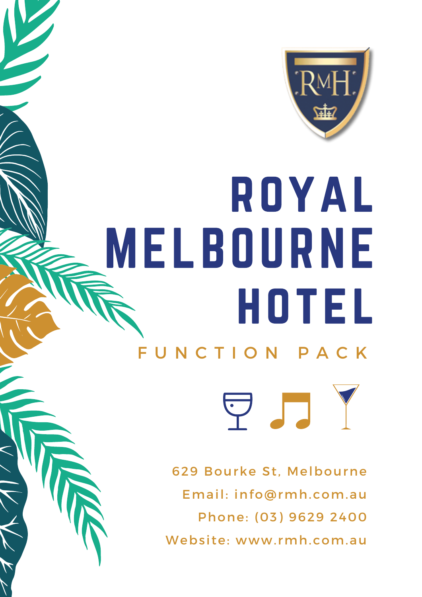

# royal MELBOURNE hotel

# F U N C T I O N P A C K

629 Bourke St, Melbourne Email: info@rmh.com.au Phone: (03) 9629 2400 Website: www.rmh.com.au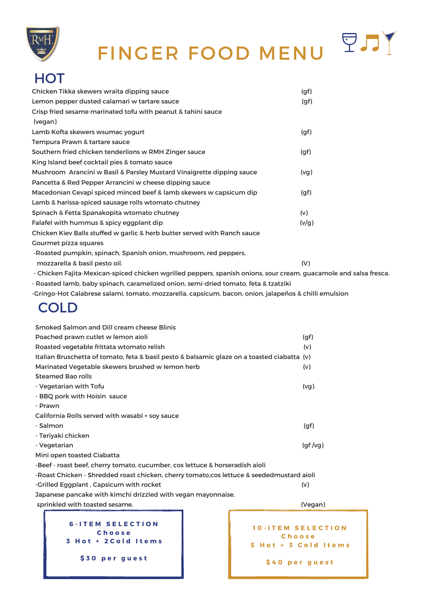

# FINGER FOOD MENU

PJJY

## **HOT**

| Chicken Tikka skewers wraita dipping sauce                                                                        | (gf)  |  |
|-------------------------------------------------------------------------------------------------------------------|-------|--|
| Lemon pepper dusted calamari w tartare sauce                                                                      | (gf)  |  |
| Crisp fried sesame marinated tofu with peanut & tahini sauce                                                      |       |  |
| (vegan)                                                                                                           |       |  |
| Lamb Kofta skewers wsumac yogurt                                                                                  | (gf)  |  |
| Tempura Prawn & tartare sauce                                                                                     |       |  |
| Southern fried chicken tenderlions w RMH Zinger sauce                                                             | (gf)  |  |
| King Island beef cocktail pies & tomato sauce                                                                     |       |  |
| Mushroom Arancini w Basil & Parsley Mustard Vinaigrette dipping sauce                                             | (vg)  |  |
| Pancetta & Red Pepper Arrancini w cheese dipping sauce                                                            |       |  |
| Macedonian Cevapi spiced minced beef & lamb skewers w capsicum dip                                                | (gf)  |  |
| Lamb & harissa-spiced sausage rolls wtomato chutney                                                               |       |  |
| Spinach & Fetta Spanakopita wtomato chutney                                                                       | (v)   |  |
| Falafel with hummus & spicy eggplant dip                                                                          | (v/g) |  |
| Chicken Kiev Balls stuffed w garlic & herb butter served with Ranch sauce                                         |       |  |
| <b>Gourmet pizza squares</b>                                                                                      |       |  |
| -Roasted pumpkin, spinach, Spanish onion, mushroom, red peppers,                                                  |       |  |
| mozzarella & basil pesto oil.                                                                                     | (V)   |  |
| - Chicken Fajita-Mexican-spiced chicken wgrilled peppers, spanish onions, sour cream, guacamole and salsa fresca. |       |  |

- Roasted lamb, baby spinach, caramelized onion, semi-dried tomato, feta & tzatziki
- -Gringo-Hot Calabrese salami, tomato, mozzarella, capsicum, bacon, onion, jalapeños & chilli emulsion

| <b>Smoked Salmon and Dill cream cheese Blinis</b>                                           |                                                            |         |
|---------------------------------------------------------------------------------------------|------------------------------------------------------------|---------|
| Poached prawn cutlet w lemon aioli                                                          |                                                            | (gf)    |
| Roasted vegetable frittata wtomato relish                                                   |                                                            | (v)     |
| Italian Bruschetta of tomato, feta & basil pesto & balsamic glaze on a toasted ciabatta (v) |                                                            |         |
| Marinated Vegetable skewers brushed w lemon herb                                            |                                                            | (v)     |
| <b>Steamed Bao rolls</b>                                                                    |                                                            |         |
| - Vegetarian with Tofu                                                                      |                                                            | (vg)    |
| - BBQ pork with Hoisin sauce                                                                |                                                            |         |
| - Prawn                                                                                     |                                                            |         |
| California Rolls served with wasabi + soy sauce                                             |                                                            |         |
| - Salmon                                                                                    |                                                            | (gf)    |
| - Teriyaki chicken                                                                          |                                                            |         |
| - Vegetarian                                                                                |                                                            | (gf/vg) |
| Mini open toasted Ciabatta                                                                  |                                                            |         |
| -Beef - roast beef, cherry tomato, cucumber, cos lettuce & horseradish aioli                |                                                            |         |
| -Roast Chicken - Shredded roast chicken, cherry tomato, cos lettuce & seededmustard aioli   |                                                            |         |
| -Grilled Eggplant, Capsicum with rocket                                                     |                                                            | (v)     |
| Japanese pancake with kimchi drizzled with vegan mayonnaise,                                |                                                            |         |
| sprinkled with toasted sesame.                                                              |                                                            | (Vegan) |
| <b>6-ITEM SELECTION</b><br>Choose<br>3 Hot + 2 Cold Items<br>\$30 per guest                 | <b>10-ITEM SELECTION</b><br>Choose<br>5 Hot + 3 Cold Items |         |
|                                                                                             | \$40 per guest                                             |         |

## COLD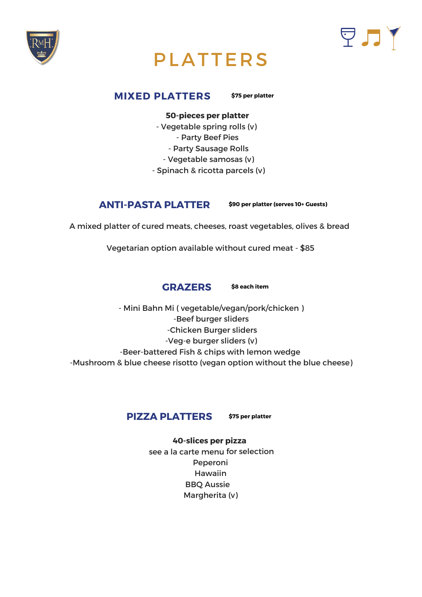



## PLATTERS

#### **MIXED PLATTERS**

#### **50-pieces per platter**

- Vegetable spring rolls (v)
	- Party Beef Pies
	- Party Sausage Rolls
	- Vegetable samosas (v)
- Spinach & ricotta parcels (v)



#### **40-slices per pizza**

see <sup>a</sup> la carte menu for selection Peperoni Hawaiin BBQ Aussie Margherita (v)



- Mini Bahn Mi ( vegetable/vegan/pork/chicken ) -Beef burger sliders -Chicken Burger sliders -Veg-e burger sliders (v) -Beer-battered Fish & chips with lemon wedge -Mushroom & blue cheese risotto (vegan option without the blue cheese)

### **ANTI-PASTA PLATTER**

A mixed platter of cured meats, cheeses, roast vegetables, olives & bread

Vegetarian option available without cured meat - \$85

**\$75 per platter**

**\$90 per platter (serves 10+ Guests)**

**\$8 each item**

**\$75 per platter**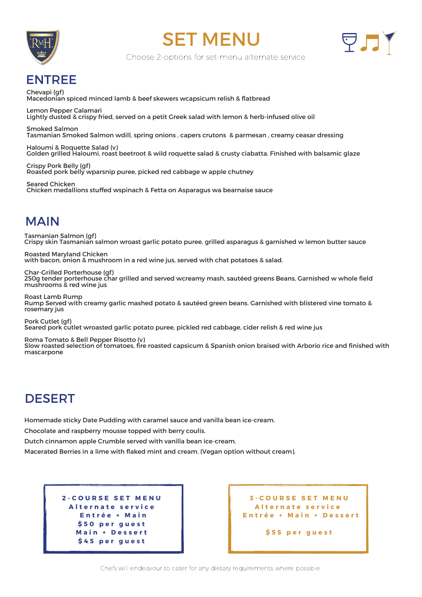





Choose 2-options for set-menu alternate service

Chevapi (gf) Macedonian spiced minced lamb & beef skewers wcapsicum relish & flatbread

Lemon Pepper Calamari Lightly dusted & crispy fried, served on a petit Greek salad with lemon & herb-infused olive oil

Smoked Salmon Tasmanian Smoked Salmon wdill, spring onions , capers crutons & parmesan , creamy ceasar dressing

Roasted Maryland Chicken with bacon, onion & mushroom in a red wine jus, served with chat potatoes & salad.

Haloumi & Roquette Salad (v) Golden grilled Haloumi, roast beetroot & wild roquette salad & crusty ciabatta. Finished with balsamic glaze

Crispy Pork Belly (gf) Roasted pork belly wparsnip puree, picked red cabbage w apple chutney

Seared Chicken Chicken medallions stuffed wspinach & Fetta on Asparagus wa bearnaise sauce

## ENTREE

## MAIN

Tasmanian Salmon (gf) Crispy skin Tasmanian salmon wroast garlic potato puree, grilled asparagus & garnished w lemon butter sauce

Char-Grilled Porterhouse (gf) 250g tender porterhouse char grilled and served wcreamy mash, sautéed greens Beans, Garnished w whole field mushrooms & red wine jus

Roast Lamb Rump Rump Served with creamy garlic mashed potato & sautéed green beans. Garnished with blistered vine tomato & rosemary jus

Pork Cutlet (gf) Seared pork cutlet wroasted garlic potato puree, pickled red cabbage, cider relish & red wine jus

Roma Tomato & Bell Pepper Risotto (v)

Slow roasted selection of tomatoes, fire roasted capsicum & Spanish onion braised with Arborio rice and finished with mascarpone

Chefs will endeavour to cater for any dietary requirements where possible

## DESERT

Homemade sticky Date Pudding with caramel sauce and vanilla bean ice-cream.

Chocolate and raspberry mousse topped with berry coulis.

Dutch cinnamon apple Crumble served with vanilla bean ice-cream.

Macerated Berries in a lime with flaked mint and cream. (Vegan option without cream).

| <b>2-COURSE SET MENU</b> |
|--------------------------|
| Alternate service        |
| Entrée + Main            |
| \$50 per guest           |
| Main + Dessert           |
| \$45 per guest           |